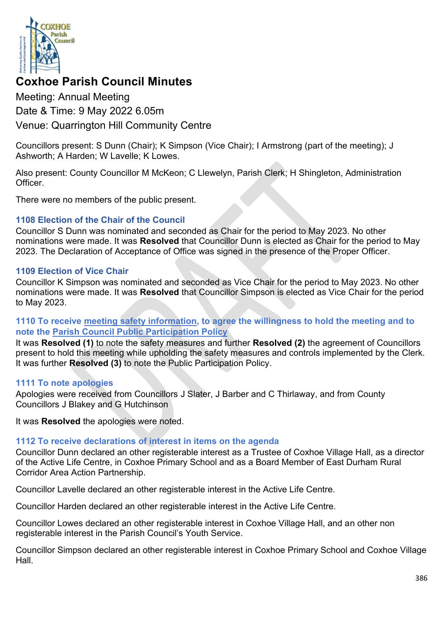

# **Coxhoe Parish Council Minutes**

Meeting: Annual Meeting Date & Time: 9 May 2022 6.05m Venue: Quarrington Hill Community Centre

Councillors present: S Dunn (Chair); K Simpson (Vice Chair); I Armstrong (part of the meeting); J Ashworth; A Harden; W Lavelle; K Lowes.

Also present: County Councillor M McKeon; C Llewelyn, Parish Clerk; H Shingleton, Administration **Officer** 

There were no members of the public present.

## **1108 Election of the Chair of the Council**

Councillor S Dunn was nominated and seconded as Chair for the period to May 2023. No other nominations were made. It was **Resolved** that Councillor Dunn is elected as Chair for the period to May 2023. The Declaration of Acceptance of Office was signed in the presence of the Proper Officer.

#### **1109 Election of Vice Chair**

Councillor K Simpson was nominated and seconded as Vice Chair for the period to May 2023. No other nominations were made. It was **Resolved** that Councillor Simpson is elected as Vice Chair for the period to May 2023.

## **1110 To receive [meeting safety information,](https://1drv.ms/b/s!Alg_TKmu7xwUgeNuzFHbtFkSU8Ywug?e=Ozv7Az) to agree the willingness to hold the meeting and to note the [Parish Council Public Participation Policy](http://coxhoeparishcouncil.gov.uk/important-documents-and-policies/public-participation-policy-fmarch-2020-review-date-march-2022/)**

It was **Resolved (1)** to note the safety measures and further **Resolved (2)** the agreement of Councillors present to hold this meeting while upholding the safety measures and controls implemented by the Clerk. It was further **Resolved (3)** to note the Public Participation Policy.

## **1111 To note apologies**

Apologies were received from Councillors J Slater, J Barber and C Thirlaway, and from County Councillors J Blakey and G Hutchinson

It was **Resolved** the apologies were noted.

# **1112 To receive declarations of interest in items on the agenda**

Councillor Dunn declared an other registerable interest as a Trustee of Coxhoe Village Hall, as a director of the Active Life Centre, in Coxhoe Primary School and as a Board Member of East Durham Rural Corridor Area Action Partnership.

Councillor Lavelle declared an other registerable interest in the Active Life Centre.

Councillor Harden declared an other registerable interest in the Active Life Centre.

Councillor Lowes declared an other registerable interest in Coxhoe Village Hall, and an other non registerable interest in the Parish Council's Youth Service.

Councillor Simpson declared an other registerable interest in Coxhoe Primary School and Coxhoe Village Hall.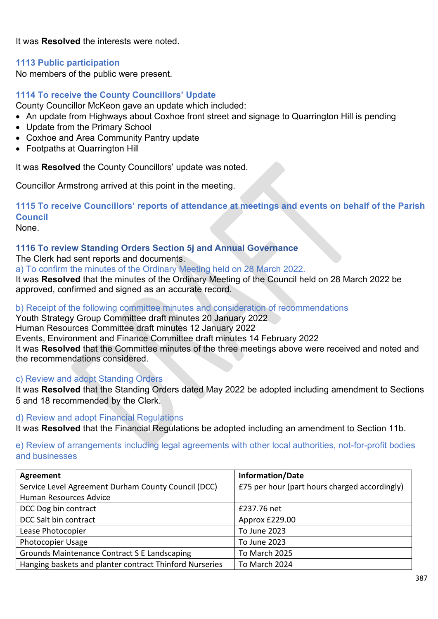It was **Resolved** the interests were noted.

## **1113 Public participation**

No members of the public were present.

## **1114 To receive the County Councillors' Update**

County Councillor McKeon gave an update which included:

- An update from Highways about Coxhoe front street and signage to Quarrington Hill is pending
- Update from the Primary School
- Coxhoe and Area Community Pantry update
- Footpaths at Quarrington Hill

It was **Resolved** the County Councillors' update was noted.

Councillor Armstrong arrived at this point in the meeting.

**1115 To receive Councillors' reports of attendance at meetings and events on behalf of the Parish Council** 

None.

## **1116 To review Standing Orders Section 5j and Annual Governance**

The Clerk had sent reports and documents.

a) To confirm the minutes of the Ordinary Meeting held on 28 March 2022.

It was **Resolved** that the minutes of the Ordinary Meeting of the Council held on 28 March 2022 be approved, confirmed and signed as an accurate record.

b) Receipt of the following committee minutes and consideration of recommendations

Youth Strategy Group Committee draft minutes 20 January 2022

Human Resources Committee draft minutes 12 January 2022

Events, Environment and Finance Committee draft minutes 14 February 2022

It was **Resolved** that the Committee minutes of the three meetings above were received and noted and the recommendations considered.

#### c) Review and adopt Standing Orders

It was **Resolved** that the Standing Orders dated May 2022 be adopted including amendment to Sections 5 and 18 recommended by the Clerk.

#### d) Review and adopt Financial Regulations

It was **Resolved** that the Financial Regulations be adopted including an amendment to Section 11b.

e) Review of arrangements including legal agreements with other local authorities, not-for-profit bodies and businesses

| <b>Agreement</b>                                        | <b>Information/Date</b>                       |
|---------------------------------------------------------|-----------------------------------------------|
| Service Level Agreement Durham County Council (DCC)     | £75 per hour (part hours charged accordingly) |
| Human Resources Advice                                  |                                               |
| DCC Dog bin contract                                    | £237.76 net                                   |
| DCC Salt bin contract                                   | Approx £229.00                                |
| Lease Photocopier                                       | To June 2023                                  |
| <b>Photocopier Usage</b>                                | To June 2023                                  |
| Grounds Maintenance Contract S E Landscaping            | To March 2025                                 |
| Hanging baskets and planter contract Thinford Nurseries | To March 2024                                 |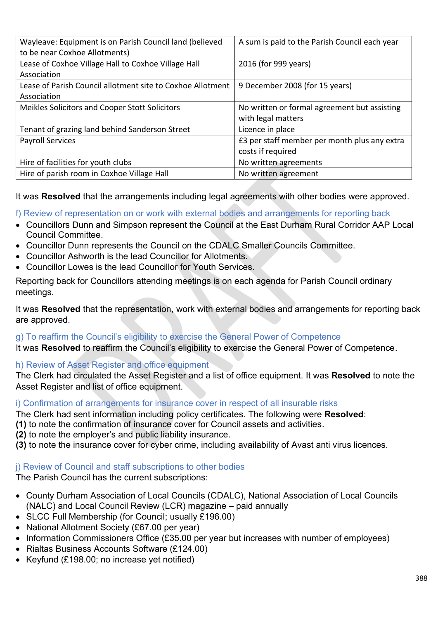| Wayleave: Equipment is on Parish Council land (believed    | A sum is paid to the Parish Council each year |
|------------------------------------------------------------|-----------------------------------------------|
| to be near Coxhoe Allotments)                              |                                               |
| Lease of Coxhoe Village Hall to Coxhoe Village Hall        | 2016 (for 999 years)                          |
| Association                                                |                                               |
| Lease of Parish Council allotment site to Coxhoe Allotment | 9 December 2008 (for 15 years)                |
| Association                                                |                                               |
| Meikles Solicitors and Cooper Stott Solicitors             | No written or formal agreement but assisting  |
|                                                            | with legal matters                            |
| Tenant of grazing land behind Sanderson Street             | Licence in place                              |
| <b>Payroll Services</b>                                    | £3 per staff member per month plus any extra  |
|                                                            | costs if required                             |
| Hire of facilities for youth clubs                         | No written agreements                         |
| Hire of parish room in Coxhoe Village Hall                 | No written agreement                          |

It was **Resolved** that the arrangements including legal agreements with other bodies were approved.

f) Review of representation on or work with external bodies and arrangements for reporting back

- Councillors Dunn and Simpson represent the Council at the East Durham Rural Corridor AAP Local Council Committee.
- Councillor Dunn represents the Council on the CDALC Smaller Councils Committee.
- Councillor Ashworth is the lead Councillor for Allotments.
- Councillor Lowes is the lead Councillor for Youth Services.

Reporting back for Councillors attending meetings is on each agenda for Parish Council ordinary meetings.

It was **Resolved** that the representation, work with external bodies and arrangements for reporting back are approved.

## g) To reaffirm the Council's eligibility to exercise the General Power of Competence

It was **Resolved** to reaffirm the Council's eligibility to exercise the General Power of Competence.

## h) Review of Asset Register and office equipment

The Clerk had circulated the Asset Register and a list of office equipment. It was **Resolved** to note the Asset Register and list of office equipment.

#### i) Confirmation of arrangements for insurance cover in respect of all insurable risks

The Clerk had sent information including policy certificates. The following were **Resolved**:

- **(1)** to note the confirmation of insurance cover for Council assets and activities.
- **(2)** to note the employer's and public liability insurance.
- **(3)** to note the insurance cover for cyber crime, including availability of Avast anti virus licences.

# j) Review of Council and staff subscriptions to other bodies

The Parish Council has the current subscriptions:

- County Durham Association of Local Councils (CDALC), National Association of Local Councils (NALC) and Local Council Review (LCR) magazine – paid annually
- SLCC Full Membership (for Council; usually £196.00)
- National Allotment Society (£67.00 per year)
- Information Commissioners Office (£35.00 per year but increases with number of employees)
- Rialtas Business Accounts Software (£124.00)
- Keyfund (£198.00; no increase yet notified)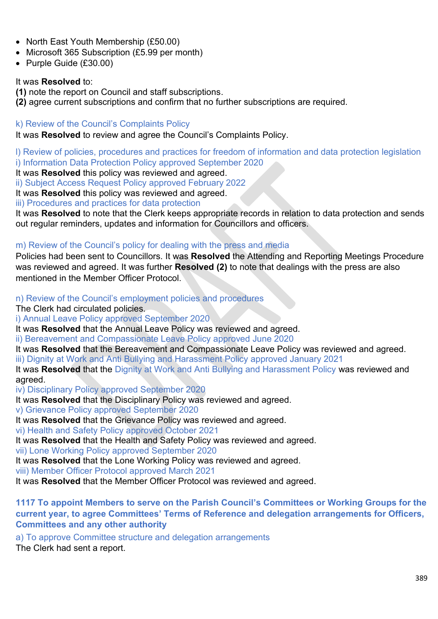- North East Youth Membership (£50.00)
- Microsoft 365 Subscription (£5.99 per month)
- Purple Guide (£30.00)

#### It was **Resolved** to:

**(1)** note the report on Council and staff subscriptions.

**(2)** agree current subscriptions and confirm that no further subscriptions are required.

#### k) Review of the Council's Complaints Policy

It was **Resolved** to review and agree the Council's Complaints Policy.

l) Review of policies, procedures and practices for freedom of information and data protection legislation i) Information Data Protection Policy approved September 2020

It was **Resolved** this policy was reviewed and agreed.

ii) Subject Access Request Policy approved February 2022

It was **Resolved** this policy was reviewed and agreed.

iii) Procedures and practices for data protection

It was **Resolved** to note that the Clerk keeps appropriate records in relation to data protection and sends out regular reminders, updates and information for Councillors and officers.

## m) Review of the Council's policy for dealing with the press and media

Policies had been sent to Councillors. It was **Resolved** the Attending and Reporting Meetings Procedure was reviewed and agreed. It was further **Resolved (2)** to note that dealings with the press are also mentioned in the Member Officer Protocol.

n) Review of the Council's employment policies and procedures

The Clerk had circulated policies.

i) Annual Leave Policy approved September 2020

It was **Resolved** that the Annual Leave Policy was reviewed and agreed.

ii) Bereavement and Compassionate Leave Policy approved June 2020

It was **Resolved** that the Bereavement and Compassionate Leave Policy was reviewed and agreed.

iii) Dignity at Work and Anti Bullying and Harassment Policy approved January 2021

It was **Resolved** that the Dignity at Work and Anti Bullying and Harassment Policy was reviewed and agreed.

iv) Disciplinary Policy approved September 2020

It was **Resolved** that the Disciplinary Policy was reviewed and agreed.

v) Grievance Policy approved September 2020

It was **Resolved** that the Grievance Policy was reviewed and agreed.

vi) Health and Safety Policy approved October 2021

It was **Resolved** that the Health and Safety Policy was reviewed and agreed.

vii) Lone Working Policy approved September 2020

It was **Resolved** that the Lone Working Policy was reviewed and agreed.

viii) Member Officer Protocol approved March 2021

It was **Resolved** that the Member Officer Protocol was reviewed and agreed.

## **1117 To appoint Members to serve on the Parish Council's Committees or Working Groups for the current year, to agree Committees' Terms of Reference and delegation arrangements for Officers, Committees and any other authority**

a) To approve Committee structure and delegation arrangements

The Clerk had sent a report.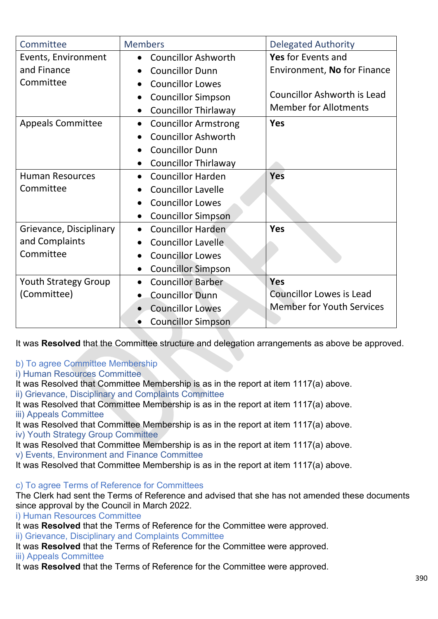| Committee                   | <b>Members</b>                           | <b>Delegated Authority</b>         |
|-----------------------------|------------------------------------------|------------------------------------|
| Events, Environment         | <b>Councillor Ashworth</b><br>$\bullet$  | Yes for Events and                 |
| and Finance                 | <b>Councillor Dunn</b>                   | Environment, No for Finance        |
| Committee                   | <b>Councillor Lowes</b><br>$\bullet$     |                                    |
|                             | <b>Councillor Simpson</b>                | <b>Councillor Ashworth is Lead</b> |
|                             | <b>Councillor Thirlaway</b><br>$\bullet$ | <b>Member for Allotments</b>       |
| <b>Appeals Committee</b>    | <b>Councillor Armstrong</b><br>$\bullet$ | <b>Yes</b>                         |
|                             | <b>Councillor Ashworth</b>               |                                    |
|                             | <b>Councillor Dunn</b>                   |                                    |
|                             | <b>Councillor Thirlaway</b><br>$\bullet$ |                                    |
| <b>Human Resources</b>      | <b>Councillor Harden</b>                 | Yes                                |
| Committee                   | <b>Councillor Lavelle</b>                |                                    |
|                             | <b>Councillor Lowes</b>                  |                                    |
|                             | <b>Councillor Simpson</b><br>$\bullet$   |                                    |
| Grievance, Disciplinary     | <b>Councillor Harden</b><br>$\bullet$    | <b>Yes</b>                         |
| and Complaints              | <b>Councillor Lavelle</b>                |                                    |
| Committee                   | <b>Councillor Lowes</b>                  |                                    |
|                             | <b>Councillor Simpson</b><br>$\bullet$   |                                    |
| <b>Youth Strategy Group</b> | <b>Councillor Barber</b><br>$\bullet$    | <b>Yes</b>                         |
| (Committee)                 | <b>Councillor Dunn</b><br>$\bullet$      | <b>Councillor Lowes is Lead</b>    |
|                             | <b>Councillor Lowes</b><br>$\bullet$     | <b>Member for Youth Services</b>   |
|                             | <b>Councillor Simpson</b><br>$\bullet$   |                                    |

It was **Resolved** that the Committee structure and delegation arrangements as above be approved.

## b) To agree Committee Membership

i) Human Resources Committee

It was Resolved that Committee Membership is as in the report at item 1117(a) above.

ii) Grievance, Disciplinary and Complaints Committee

It was Resolved that Committee Membership is as in the report at item 1117(a) above. iii) Appeals Committee

It was Resolved that Committee Membership is as in the report at item 1117(a) above. iv) Youth Strategy Group Committee

It was Resolved that Committee Membership is as in the report at item 1117(a) above. v) Events, Environment and Finance Committee

It was Resolved that Committee Membership is as in the report at item 1117(a) above.

# c) To agree Terms of Reference for Committees

The Clerk had sent the Terms of Reference and advised that she has not amended these documents since approval by the Council in March 2022.

i) Human Resources Committee

It was **Resolved** that the Terms of Reference for the Committee were approved.

ii) Grievance, Disciplinary and Complaints Committee

It was **Resolved** that the Terms of Reference for the Committee were approved. iii) Appeals Committee

It was **Resolved** that the Terms of Reference for the Committee were approved.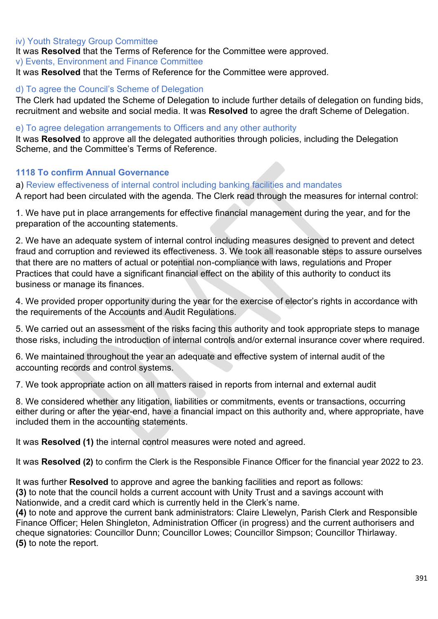#### iv) Youth Strategy Group Committee

It was **Resolved** that the Terms of Reference for the Committee were approved. v) Events, Environment and Finance Committee

It was **Resolved** that the Terms of Reference for the Committee were approved.

#### d) To agree the Council's Scheme of Delegation

The Clerk had updated the Scheme of Delegation to include further details of delegation on funding bids, recruitment and website and social media. It was **Resolved** to agree the draft Scheme of Delegation.

#### e) To agree delegation arrangements to Officers and any other authority

It was **Resolved** to approve all the delegated authorities through policies, including the Delegation Scheme, and the Committee's Terms of Reference.

## **1118 To confirm Annual Governance**

a) Review effectiveness of internal control including banking facilities and mandates

A report had been circulated with the agenda. The Clerk read through the measures for internal control:

1. We have put in place arrangements for effective financial management during the year, and for the preparation of the accounting statements.

2. We have an adequate system of internal control including measures designed to prevent and detect fraud and corruption and reviewed its effectiveness. 3. We took all reasonable steps to assure ourselves that there are no matters of actual or potential non-compliance with laws, regulations and Proper Practices that could have a significant financial effect on the ability of this authority to conduct its business or manage its finances.

4. We provided proper opportunity during the year for the exercise of elector's rights in accordance with the requirements of the Accounts and Audit Regulations.

5. We carried out an assessment of the risks facing this authority and took appropriate steps to manage those risks, including the introduction of internal controls and/or external insurance cover where required.

6. We maintained throughout the year an adequate and effective system of internal audit of the accounting records and control systems.

7. We took appropriate action on all matters raised in reports from internal and external audit

8. We considered whether any litigation, liabilities or commitments, events or transactions, occurring either during or after the year-end, have a financial impact on this authority and, where appropriate, have included them in the accounting statements.

It was **Resolved (1)** the internal control measures were noted and agreed.

It was **Resolved (2)** to confirm the Clerk is the Responsible Finance Officer for the financial year 2022 to 23.

It was further **Resolved** to approve and agree the banking facilities and report as follows: **(3)** to note that the council holds a current account with Unity Trust and a savings account with Nationwide, and a credit card which is currently held in the Clerk's name.

**(4)** to note and approve the current bank administrators: Claire Llewelyn, Parish Clerk and Responsible Finance Officer; Helen Shingleton, Administration Officer (in progress) and the current authorisers and cheque signatories: Councillor Dunn; Councillor Lowes; Councillor Simpson; Councillor Thirlaway. **(5)** to note the report.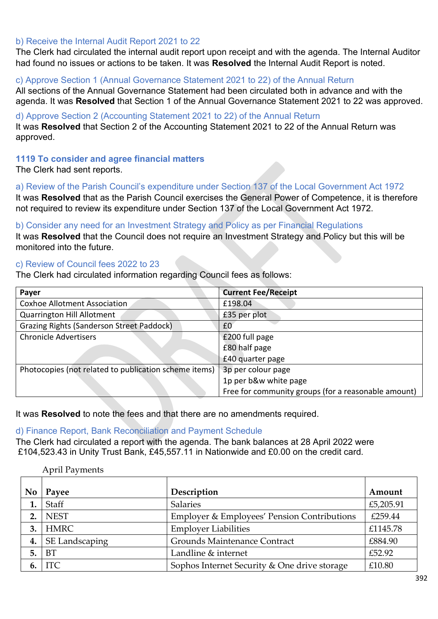#### b) Receive the Internal Audit Report 2021 to 22

The Clerk had circulated the internal audit report upon receipt and with the agenda. The Internal Auditor had found no issues or actions to be taken. It was **Resolved** the Internal Audit Report is noted.

#### c) Approve Section 1 (Annual Governance Statement 2021 to 22) of the Annual Return

All sections of the Annual Governance Statement had been circulated both in advance and with the agenda. It was **Resolved** that Section 1 of the Annual Governance Statement 2021 to 22 was approved.

#### d) Approve Section 2 (Accounting Statement 2021 to 22) of the Annual Return

It was **Resolved** that Section 2 of the Accounting Statement 2021 to 22 of the Annual Return was approved.

#### **1119 To consider and agree financial matters**

The Clerk had sent reports.

a) Review of the Parish Council's expenditure under Section 137 of the Local Government Act 1972 It was **Resolved** that as the Parish Council exercises the General Power of Competence, it is therefore not required to review its expenditure under Section 137 of the Local Government Act 1972.

#### b) Consider any need for an Investment Strategy and Policy as per Financial Regulations

It was **Resolved** that the Council does not require an Investment Strategy and Policy but this will be monitored into the future.

#### c) Review of Council fees 2022 to 23

The Clerk had circulated information regarding Council fees as follows:

| Payer                                                 | <b>Current Fee/Receipt</b>                          |
|-------------------------------------------------------|-----------------------------------------------------|
| <b>Coxhoe Allotment Association</b>                   | £198.04                                             |
| <b>Quarrington Hill Allotment</b>                     | £35 per plot                                        |
| <b>Grazing Rights (Sanderson Street Paddock)</b>      | £0                                                  |
| <b>Chronicle Advertisers</b>                          | £200 full page                                      |
|                                                       | £80 half page                                       |
|                                                       | £40 quarter page                                    |
| Photocopies (not related to publication scheme items) | 3p per colour page                                  |
|                                                       | 1p per b&w white page                               |
|                                                       | Free for community groups (for a reasonable amount) |

It was **Resolved** to note the fees and that there are no amendments required.

#### d) Finance Report, Bank Reconciliation and Payment Schedule

The Clerk had circulated a report with the agenda. The bank balances at 28 April 2022 were £104,523.43 in Unity Trust Bank, £45,557.11 in Nationwide and £0.00 on the credit card.

April Payments **No Payee Description Amount 1.** Staff  $\left| \begin{array}{c} 5,205.91 \\ \end{array} \right|$ **2. INEST** Employer & Employees' Pension Contributions  $\left| \right.$  £259.44 **3. HMRC** Employer Liabilities **ELECTE ELECTE ELECTE 4. SE Landscaping Crounds Maintenance Contract 1 £884.90 5. 6BT E52.92 EXECUTE: E52.92 E52.92 6. TEC** Sophos Internet Security & One drive storage £10.80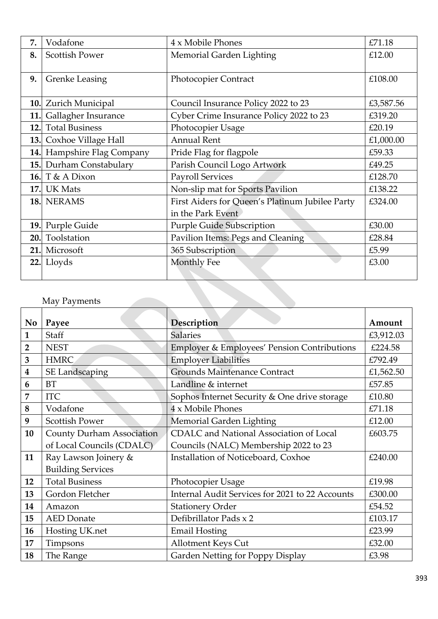| 7.         | Vodafone               | 4 x Mobile Phones                               | £71.18    |
|------------|------------------------|-------------------------------------------------|-----------|
| 8.         | <b>Scottish Power</b>  | Memorial Garden Lighting                        | £12.00    |
|            |                        |                                                 |           |
| 9.         | <b>Grenke Leasing</b>  | <b>Photocopier Contract</b>                     | £108.00   |
|            |                        |                                                 |           |
| 10.        | Zurich Municipal       | Council Insurance Policy 2022 to 23             | £3,587.56 |
| 11.        | Gallagher Insurance    | Cyber Crime Insurance Policy 2022 to 23         | £319.20   |
| 12.        | <b>Total Business</b>  | Photocopier Usage                               | £20.19    |
| 13.        | Coxhoe Village Hall    | <b>Annual Rent</b>                              | £1,000.00 |
| 14.        | Hampshire Flag Company | Pride Flag for flagpole                         | £59.33    |
| 15.        | Durham Constabulary    | Parish Council Logo Artwork                     | £49.25    |
| <b>16.</b> | T & A Dixon            | <b>Payroll Services</b>                         | £128.70   |
| <b>17.</b> | <b>UK Mats</b>         | Non-slip mat for Sports Pavilion                | £138.22   |
|            | 18. NERAMS             | First Aiders for Queen's Platinum Jubilee Party | £324.00   |
|            |                        | in the Park Event                               |           |
| 19.        | Purple Guide           | <b>Purple Guide Subscription</b>                | £30.00    |
| 20.        | Toolstation            | Pavilion Items: Pegs and Cleaning               | £28.84    |
| 21.        | Microsoft              | 365 Subscription                                | £5.99     |
| 22.        | Lloyds                 | Monthly Fee                                     | £3.00     |
|            |                        |                                                 |           |

## May Payments

| No                      | Payee                            | Description                                     | Amount    |
|-------------------------|----------------------------------|-------------------------------------------------|-----------|
|                         |                                  |                                                 |           |
| $\mathbf{1}$            | Staff                            | <b>Salaries</b>                                 | £3,912.03 |
| $\overline{\mathbf{2}}$ | <b>NEST</b>                      | Employer & Employees' Pension Contributions     | £224.58   |
| 3                       | <b>HMRC</b>                      | <b>Employer Liabilities</b>                     | £792.49   |
| $\boldsymbol{4}$        | <b>SE Landscaping</b>            | <b>Grounds Maintenance Contract</b>             | £1,562.50 |
| 6                       | <b>BT</b>                        | Landline & internet                             | £57.85    |
| 7                       | <b>ITC</b>                       | Sophos Internet Security & One drive storage    | £10.80    |
| 8                       | Vodafone                         | $4 \times$ Mobile Phones                        | £71.18    |
| 9                       | <b>Scottish Power</b>            | Memorial Garden Lighting                        | £12.00    |
| 10                      | <b>County Durham Association</b> | <b>CDALC</b> and National Association of Local  | £603.75   |
|                         | of Local Councils (CDALC)        | Councils (NALC) Membership 2022 to 23           |           |
| 11                      | Ray Lawson Joinery &             | Installation of Noticeboard, Coxhoe             | £240.00   |
|                         | <b>Building Services</b>         |                                                 |           |
| 12                      | <b>Total Business</b>            | Photocopier Usage                               | £19.98    |
| 13                      | Gordon Fletcher                  | Internal Audit Services for 2021 to 22 Accounts | £300.00   |
| 14                      | Amazon                           | <b>Stationery Order</b>                         | £54.52    |
| 15                      | <b>AED</b> Donate                | Defibrillator Pads x 2                          | £103.17   |
| 16                      | Hosting UK.net                   | <b>Email Hosting</b>                            | £23.99    |
| 17                      | Timpsons                         | Allotment Keys Cut                              | £32.00    |
| 18                      | The Range                        | Garden Netting for Poppy Display                | £3.98     |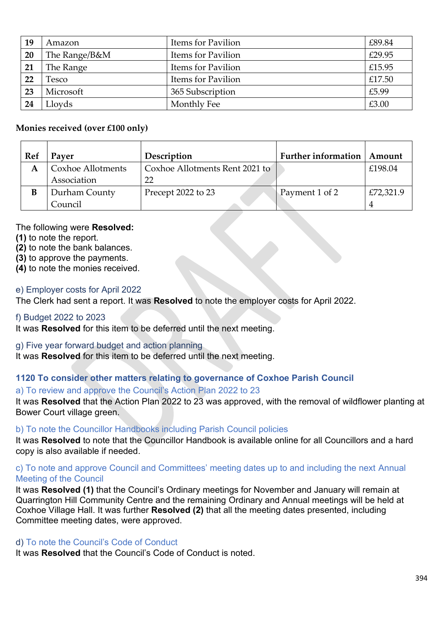| 19        | Amazon        | Items for Pavilion | £89.84 |
|-----------|---------------|--------------------|--------|
| <b>20</b> | The Range/B&M | Items for Pavilion | £29.95 |
| 21        | The Range     | Items for Pavilion | £15.95 |
| 22        | Fesco         | Items for Pavilion | £17.50 |
| 23        | Microsoft     | 365 Subscription   | £5.99  |
| 24        | Lloyds        | Monthly Fee        | £3.00  |

#### **Monies received (over £100 only)**

| Ref | Payer             | Description                    | <b>Further information</b> | Amount    |
|-----|-------------------|--------------------------------|----------------------------|-----------|
|     | Coxhoe Allotments | Coxhoe Allotments Rent 2021 to |                            | £198.04   |
|     | Association       | 22                             |                            |           |
|     | Durham County     | Precept 2022 to 23             | Payment 1 of 2             | £72,321.9 |
|     | Council           |                                |                            |           |

#### The following were **Resolved:**

- **(1)** to note the report.
- **(2)** to note the bank balances.
- **(3)** to approve the payments.
- **(4)** to note the monies received.

#### e) Employer costs for April 2022

The Clerk had sent a report. It was **Resolved** to note the employer costs for April 2022.

## f) Budget 2022 to 2023

It was **Resolved** for this item to be deferred until the next meeting.

## g) Five year forward budget and action planning

It was **Resolved** for this item to be deferred until the next meeting.

## **1120 To consider other matters relating to governance of Coxhoe Parish Council**

## a) To review and approve the Council's Action Plan 2022 to 23

It was **Resolved** that the Action Plan 2022 to 23 was approved, with the removal of wildflower planting at Bower Court village green.

## b) To note the Councillor Handbooks including Parish Council policies

It was **Resolved** to note that the Councillor Handbook is available online for all Councillors and a hard copy is also available if needed.

## c) To note and approve Council and Committees' meeting dates up to and including the next Annual Meeting of the Council

It was **Resolved (1)** that the Council's Ordinary meetings for November and January will remain at Quarrington Hill Community Centre and the remaining Ordinary and Annual meetings will be held at Coxhoe Village Hall. It was further **Resolved (2)** that all the meeting dates presented, including Committee meeting dates, were approved.

## d) To note the Council's Code of Conduct

It was **Resolved** that the Council's Code of Conduct is noted.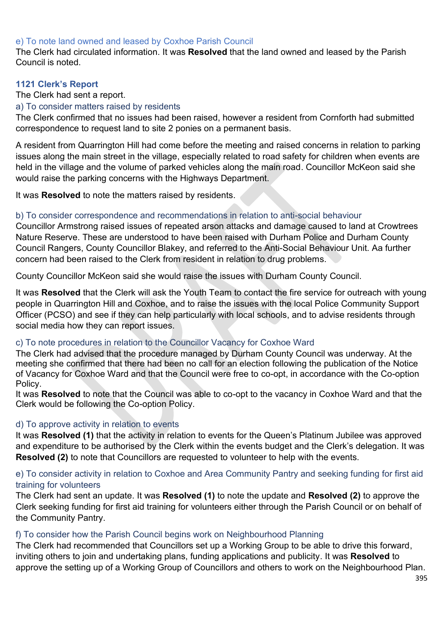#### e) To note land owned and leased by Coxhoe Parish Council

The Clerk had circulated information. It was **Resolved** that the land owned and leased by the Parish Council is noted.

## **1121 Clerk's Report**

#### The Clerk had sent a report.

#### a) To consider matters raised by residents

The Clerk confirmed that no issues had been raised, however a resident from Cornforth had submitted correspondence to request land to site 2 ponies on a permanent basis.

A resident from Quarrington Hill had come before the meeting and raised concerns in relation to parking issues along the main street in the village, especially related to road safety for children when events are held in the village and the volume of parked vehicles along the main road. Councillor McKeon said she would raise the parking concerns with the Highways Department.

It was **Resolved** to note the matters raised by residents.

#### b) To consider correspondence and recommendations in relation to anti-social behaviour

Councillor Armstrong raised issues of repeated arson attacks and damage caused to land at Crowtrees Nature Reserve. These are understood to have been raised with Durham Police and Durham County Council Rangers, County Councillor Blakey, and referred to the Anti-Social Behaviour Unit. Aa further concern had been raised to the Clerk from resident in relation to drug problems.

County Councillor McKeon said she would raise the issues with Durham County Council.

It was **Resolved** that the Clerk will ask the Youth Team to contact the fire service for outreach with young people in Quarrington Hill and Coxhoe, and to raise the issues with the local Police Community Support Officer (PCSO) and see if they can help particularly with local schools, and to advise residents through social media how they can report issues.

## c) To note procedures in relation to the Councillor Vacancy for Coxhoe Ward

The Clerk had advised that the procedure managed by Durham County Council was underway. At the meeting she confirmed that there had been no call for an election following the publication of the Notice of Vacancy for Coxhoe Ward and that the Council were free to co-opt, in accordance with the Co-option Policy.

It was **Resolved** to note that the Council was able to co-opt to the vacancy in Coxhoe Ward and that the Clerk would be following the Co-option Policy.

## d) To approve activity in relation to events

It was **Resolved (1)** that the activity in relation to events for the Queen's Platinum Jubilee was approved and expenditure to be authorised by the Clerk within the events budget and the Clerk's delegation. It was **Resolved (2)** to note that Councillors are requested to volunteer to help with the events.

## e) To consider activity in relation to Coxhoe and Area Community Pantry and seeking funding for first aid training for volunteers

The Clerk had sent an update. It was **Resolved (1)** to note the update and **Resolved (2)** to approve the Clerk seeking funding for first aid training for volunteers either through the Parish Council or on behalf of the Community Pantry.

## f) To consider how the Parish Council begins work on Neighbourhood Planning

The Clerk had recommended that Councillors set up a Working Group to be able to drive this forward, inviting others to join and undertaking plans, funding applications and publicity. It was **Resolved** to approve the setting up of a Working Group of Councillors and others to work on the Neighbourhood Plan.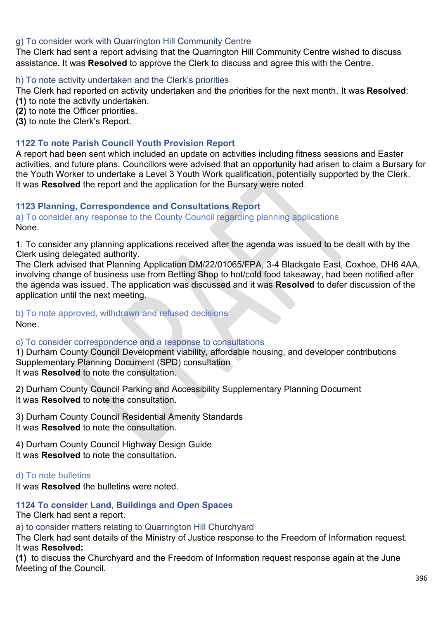## g) To consider work with Quarrington Hill Community Centre

The Clerk had sent a report advising that the Quarrington Hill Community Centre wished to discuss assistance. It was **Resolved** to approve the Clerk to discuss and agree this with the Centre.

#### h) To note activity undertaken and the Clerk's priorities

The Clerk had reported on activity undertaken and the priorities for the next month. It was **Resolved**: **(1)** to note the activity undertaken.

- **(2)** to note the Officer priorities.
- **(3)** to note the Clerk's Report.

#### **1122 To note Parish Council Youth Provision Report**

A report had been sent which included an update on activities including fitness sessions and Easter activities, and future plans. Councillors were advised that an opportunity had arisen to claim a Bursary for the Youth Worker to undertake a Level 3 Youth Work qualification, potentially supported by the Clerk. It was **Resolved** the report and the application for the Bursary were noted.

#### **1123 Planning, Correspondence and Consultations Report**

a) To consider any response to the County Council regarding planning applications None.

1. To consider any planning applications received after the agenda was issued to be dealt with by the Clerk using delegated authority.

The Clerk advised that Planning Application DM/22/01065/FPA, 3-4 Blackgate East, Coxhoe, DH6 4AA, involving change of business use from Betting Shop to hot/cold food takeaway, had been notified after the agenda was issued. The application was discussed and it was **Resolved** to defer discussion of the application until the next meeting.

#### b) To note approved, withdrawn and refused decisions None.

c) To consider correspondence and a response to consultations

1) Durham County Council Development viability, affordable housing, and developer contributions Supplementary Planning Document (SPD) consultation It was **Resolved** to note the consultation.

2) Durham County Council Parking and Accessibility Supplementary Planning Document It was **Resolved** to note the consultation.

3) Durham County Council Residential Amenity Standards It was **Resolved** to note the consultation.

4) Durham County Council Highway Design Guide It was **Resolved** to note the consultation.

## d) To note bulletins

It was **Resolved** the bulletins were noted.

# **1124 To consider Land, Buildings and Open Spaces**

The Clerk had sent a report.

a) to consider matters relating to Quarrington Hill Churchyard

The Clerk had sent details of the Ministry of Justice response to the Freedom of Information request. It was **Resolved:**

**(1)** to discuss the Churchyard and the Freedom of Information request response again at the June Meeting of the Council.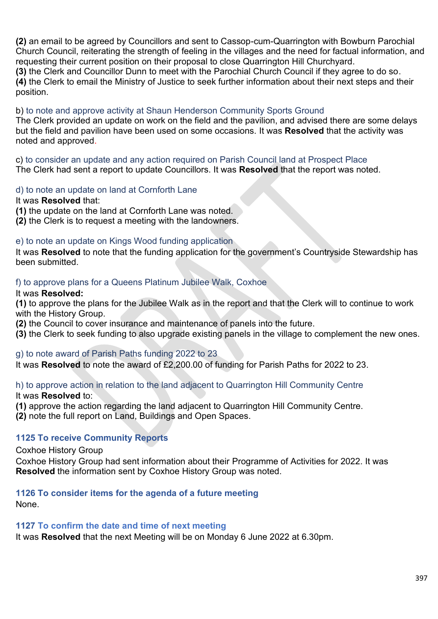**(2)** an email to be agreed by Councillors and sent to Cassop-cum-Quarrington with Bowburn Parochial Church Council, reiterating the strength of feeling in the villages and the need for factual information, and requesting their current position on their proposal to close Quarrington Hill Churchyard. **(3)** the Clerk and Councillor Dunn to meet with the Parochial Church Council if they agree to do so. **(4)** the Clerk to email the Ministry of Justice to seek further information about their next steps and their position.

## b) to note and approve activity at Shaun Henderson Community Sports Ground

The Clerk provided an update on work on the field and the pavilion, and advised there are some delays but the field and pavilion have been used on some occasions. It was **Resolved** that the activity was noted and approved.

c) to consider an update and any action required on Parish Council land at Prospect Place The Clerk had sent a report to update Councillors. It was **Resolved** that the report was noted.

#### d) to note an update on land at Cornforth Lane

#### It was **Resolved** that:

**(1)** the update on the land at Cornforth Lane was noted.

**(2)** the Clerk is to request a meeting with the landowners.

#### e) to note an update on Kings Wood funding application

It was **Resolved** to note that the funding application for the government's Countryside Stewardship has been submitted.

#### f) to approve plans for a Queens Platinum Jubilee Walk, Coxhoe

#### It was **Resolved:**

**(1)** to approve the plans for the Jubilee Walk as in the report and that the Clerk will to continue to work with the History Group.

**(2)** the Council to cover insurance and maintenance of panels into the future.

**(3)** the Clerk to seek funding to also upgrade existing panels in the village to complement the new ones.

#### g) to note award of Parish Paths funding 2022 to 23

It was **Resolved** to note the award of £2,200.00 of funding for Parish Paths for 2022 to 23.

# h) to approve action in relation to the land adjacent to Quarrington Hill Community Centre

It was **Resolved** to:

**(1)** approve the action regarding the land adjacent to Quarrington Hill Community Centre.

**(2)** note the full report on Land, Buildings and Open Spaces.

## **1125 To receive Community Reports**

Coxhoe History Group

Coxhoe History Group had sent information about their Programme of Activities for 2022. It was **Resolved** the information sent by Coxhoe History Group was noted.

## **1126 To consider items for the agenda of a future meeting**

None.

#### **1127 To confirm the date and time of next meeting**

It was **Resolved** that the next Meeting will be on Monday 6 June 2022 at 6.30pm.